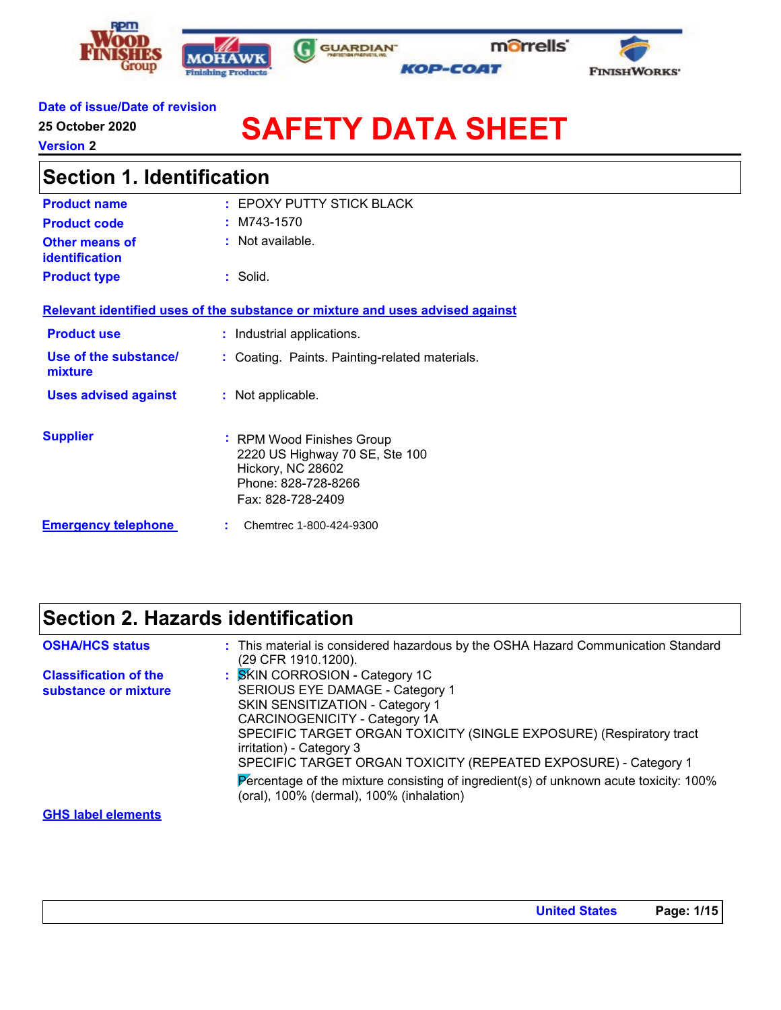





#### **Date of issue/Date of revision**

**25 October 2020**

**Version 2**

# **SAFETY DATA SHEET**

| <b>Section 1. Identification</b>        |                                                                                                                              |  |
|-----------------------------------------|------------------------------------------------------------------------------------------------------------------------------|--|
| <b>Product name</b>                     | EPOXY PUTTY STICK BLACK                                                                                                      |  |
| <b>Product code</b>                     | $:M743-1570$                                                                                                                 |  |
| Other means of<br><b>identification</b> | $:$ Not available.                                                                                                           |  |
| <b>Product type</b>                     | : Solid.                                                                                                                     |  |
|                                         | Relevant identified uses of the substance or mixture and uses advised against                                                |  |
| <b>Product use</b>                      | : Industrial applications.                                                                                                   |  |
| Use of the substance/<br>mixture        | Coating. Paints. Painting-related materials.                                                                                 |  |
| <b>Uses advised against</b>             | : Not applicable.                                                                                                            |  |
| <b>Supplier</b>                         | : RPM Wood Finishes Group<br>2220 US Highway 70 SE, Ste 100<br>Hickory, NC 28602<br>Phone: 828-728-8266<br>Fax: 828-728-2409 |  |
| <b>Emergency telephone</b>              | Chemtrec 1-800-424-9300                                                                                                      |  |

### **Section 2. Hazards identification**

| <b>OSHA/HCS status</b>                               | : This material is considered hazardous by the OSHA Hazard Communication Standard<br>(29 CFR 1910.1200).                                                                                                                                                                                                                                                                                                                                            |
|------------------------------------------------------|-----------------------------------------------------------------------------------------------------------------------------------------------------------------------------------------------------------------------------------------------------------------------------------------------------------------------------------------------------------------------------------------------------------------------------------------------------|
| <b>Classification of the</b><br>substance or mixture | : SKIN CORROSION - Category 1C<br>SERIOUS EYE DAMAGE - Category 1<br>SKIN SENSITIZATION - Category 1<br>CARCINOGENICITY - Category 1A<br>SPECIFIC TARGET ORGAN TOXICITY (SINGLE EXPOSURE) (Respiratory tract<br>irritation) - Category 3<br>SPECIFIC TARGET ORGAN TOXICITY (REPEATED EXPOSURE) - Category 1<br>Percentage of the mixture consisting of ingredient(s) of unknown acute toxicity: $100\%$<br>(oral), 100% (dermal), 100% (inhalation) |
| <b>GHS label elements</b>                            |                                                                                                                                                                                                                                                                                                                                                                                                                                                     |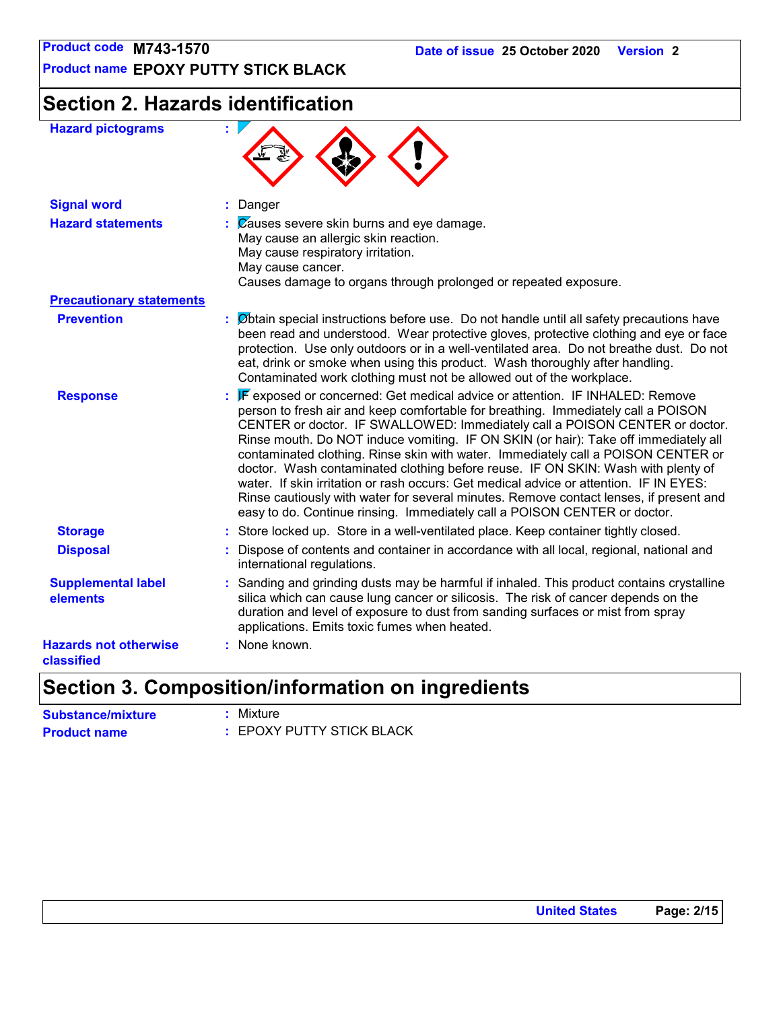## **Section 2. Hazards identification**

| <b>Hazard pictograms</b>                   | ÷.                                                                                                                                                                                                                                                                                                                                                                                                                                                                                                                                                                                                                                                                                                                                                                                 |
|--------------------------------------------|------------------------------------------------------------------------------------------------------------------------------------------------------------------------------------------------------------------------------------------------------------------------------------------------------------------------------------------------------------------------------------------------------------------------------------------------------------------------------------------------------------------------------------------------------------------------------------------------------------------------------------------------------------------------------------------------------------------------------------------------------------------------------------|
| <b>Signal word</b>                         | : Danger                                                                                                                                                                                                                                                                                                                                                                                                                                                                                                                                                                                                                                                                                                                                                                           |
| <b>Hazard statements</b>                   | $\mathcal{C}$ Zauses severe skin burns and eye damage.<br>May cause an allergic skin reaction.<br>May cause respiratory irritation.<br>May cause cancer.<br>Causes damage to organs through prolonged or repeated exposure.                                                                                                                                                                                                                                                                                                                                                                                                                                                                                                                                                        |
| <b>Precautionary statements</b>            |                                                                                                                                                                                                                                                                                                                                                                                                                                                                                                                                                                                                                                                                                                                                                                                    |
| <b>Prevention</b>                          | : Øbtain special instructions before use. Do not handle until all safety precautions have<br>been read and understood. Wear protective gloves, protective clothing and eye or face<br>protection. Use only outdoors or in a well-ventilated area. Do not breathe dust. Do not<br>eat, drink or smoke when using this product. Wash thoroughly after handling.<br>Contaminated work clothing must not be allowed out of the workplace.                                                                                                                                                                                                                                                                                                                                              |
| <b>Response</b>                            | : F exposed or concerned: Get medical advice or attention. IF INHALED: Remove<br>person to fresh air and keep comfortable for breathing. Immediately call a POISON<br>CENTER or doctor. IF SWALLOWED: Immediately call a POISON CENTER or doctor.<br>Rinse mouth. Do NOT induce vomiting. IF ON SKIN (or hair): Take off immediately all<br>contaminated clothing. Rinse skin with water. Immediately call a POISON CENTER or<br>doctor. Wash contaminated clothing before reuse. IF ON SKIN: Wash with plenty of<br>water. If skin irritation or rash occurs: Get medical advice or attention. IF IN EYES:<br>Rinse cautiously with water for several minutes. Remove contact lenses, if present and<br>easy to do. Continue rinsing. Immediately call a POISON CENTER or doctor. |
| <b>Storage</b>                             | : Store locked up. Store in a well-ventilated place. Keep container tightly closed.                                                                                                                                                                                                                                                                                                                                                                                                                                                                                                                                                                                                                                                                                                |
| <b>Disposal</b>                            | Dispose of contents and container in accordance with all local, regional, national and<br>international regulations.                                                                                                                                                                                                                                                                                                                                                                                                                                                                                                                                                                                                                                                               |
| <b>Supplemental label</b><br>elements      | : Sanding and grinding dusts may be harmful if inhaled. This product contains crystalline<br>silica which can cause lung cancer or silicosis. The risk of cancer depends on the<br>duration and level of exposure to dust from sanding surfaces or mist from spray<br>applications. Emits toxic fumes when heated.                                                                                                                                                                                                                                                                                                                                                                                                                                                                 |
| <b>Hazards not otherwise</b><br>classified | : None known.                                                                                                                                                                                                                                                                                                                                                                                                                                                                                                                                                                                                                                                                                                                                                                      |
|                                            |                                                                                                                                                                                                                                                                                                                                                                                                                                                                                                                                                                                                                                                                                                                                                                                    |

### **Section 3. Composition/information on ingredients**

| <b>Substance/mixture</b> | : Mixture                 |
|--------------------------|---------------------------|
| <b>Product name</b>      | : EPOXY PUTTY STICK BLACK |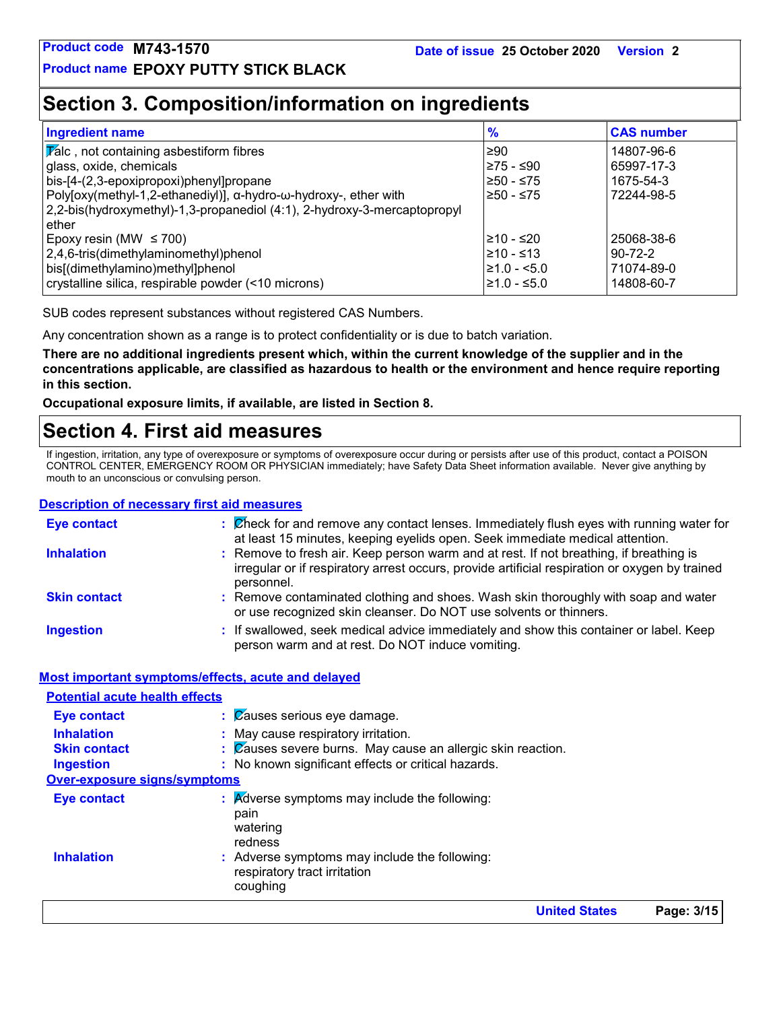### **Section 3. Composition/information on ingredients**

| <b>Ingredient name</b>                                                   | $\frac{9}{6}$    | <b>CAS number</b> |
|--------------------------------------------------------------------------|------------------|-------------------|
| $ \overline{V}$ alc, not containing asbestiform fibres                   | $\geq 90$        | 14807-96-6        |
| glass, oxide, chemicals                                                  | l≥75 - ≤90       | 65997-17-3        |
| bis-[4-(2,3-epoxipropoxi)phenyl]propane                                  | ≥50 - ≤75        | 1675-54-3         |
| Poly[oxy(methyl-1,2-ethanediyl)], α-hydro-ω-hydroxy-, ether with         | l≥50 - ≤75       | 72244-98-5        |
| 2,2-bis(hydroxymethyl)-1,3-propanediol (4:1), 2-hydroxy-3-mercaptopropyl |                  |                   |
| ether                                                                    |                  |                   |
| Epoxy resin (MW $\leq$ 700)                                              | l≥10 - ≤20       | 25068-38-6        |
| 2,4,6-tris(dimethylaminomethyl)phenol                                    | l≥10 - ≤13       | $90 - 72 - 2$     |
| bis[(dimethylamino)methyl]phenol                                         | $\geq 1.0 - 5.0$ | 71074-89-0        |
| crystalline silica, respirable powder (<10 microns)                      | $≥1.0 - ≤5.0$    | 14808-60-7        |

SUB codes represent substances without registered CAS Numbers.

Any concentration shown as a range is to protect confidentiality or is due to batch variation.

**There are no additional ingredients present which, within the current knowledge of the supplier and in the concentrations applicable, are classified as hazardous to health or the environment and hence require reporting in this section.**

**Occupational exposure limits, if available, are listed in Section 8.**

### **Section 4. First aid measures**

If ingestion, irritation, any type of overexposure or symptoms of overexposure occur during or persists after use of this product, contact a POISON CONTROL CENTER, EMERGENCY ROOM OR PHYSICIAN immediately; have Safety Data Sheet information available. Never give anything by mouth to an unconscious or convulsing person.

#### **Description of necessary first aid measures**

| <b>Eye contact</b>                                 | $\therefore$ Check for and remove any contact lenses. Immediately flush eyes with running water for<br>at least 15 minutes, keeping eyelids open. Seek immediate medical attention.                    |
|----------------------------------------------------|--------------------------------------------------------------------------------------------------------------------------------------------------------------------------------------------------------|
| <b>Inhalation</b>                                  | : Remove to fresh air. Keep person warm and at rest. If not breathing, if breathing is<br>irregular or if respiratory arrest occurs, provide artificial respiration or oxygen by trained<br>personnel. |
| <b>Skin contact</b>                                | : Remove contaminated clothing and shoes. Wash skin thoroughly with soap and water<br>or use recognized skin cleanser. Do NOT use solvents or thinners.                                                |
| <b>Ingestion</b>                                   | : If swallowed, seek medical advice immediately and show this container or label. Keep<br>person warm and at rest. Do NOT induce vomiting.                                                             |
| Most important symptoms/effects, acute and delayed |                                                                                                                                                                                                        |
| <b>Potential acute health effects</b>              |                                                                                                                                                                                                        |
| <b>Eye contact</b>                                 | $\beta$ auses serious eye damage.                                                                                                                                                                      |

|                                     |                                                                                                                          | <b>United States</b> | Page: 3/15 |
|-------------------------------------|--------------------------------------------------------------------------------------------------------------------------|----------------------|------------|
| <b>Inhalation</b>                   | pain<br>watering<br>redness<br>: Adverse symptoms may include the following:<br>respiratory tract irritation<br>coughing |                      |            |
| <b>Eye contact</b>                  | $\therefore$ Adverse symptoms may include the following:                                                                 |                      |            |
| <b>Over-exposure signs/symptoms</b> |                                                                                                                          |                      |            |
| Ingestion                           | : No known significant effects or critical hazards.                                                                      |                      |            |
| <b>Skin contact</b>                 | $\therefore$ Zauses severe burns. May cause an allergic skin reaction.                                                   |                      |            |
| <b>Inhalation</b>                   | : May cause respiratory irritation.                                                                                      |                      |            |
| <b>EVE CONTACT</b>                  | . Mauses serious eye ualilaye.                                                                                           |                      |            |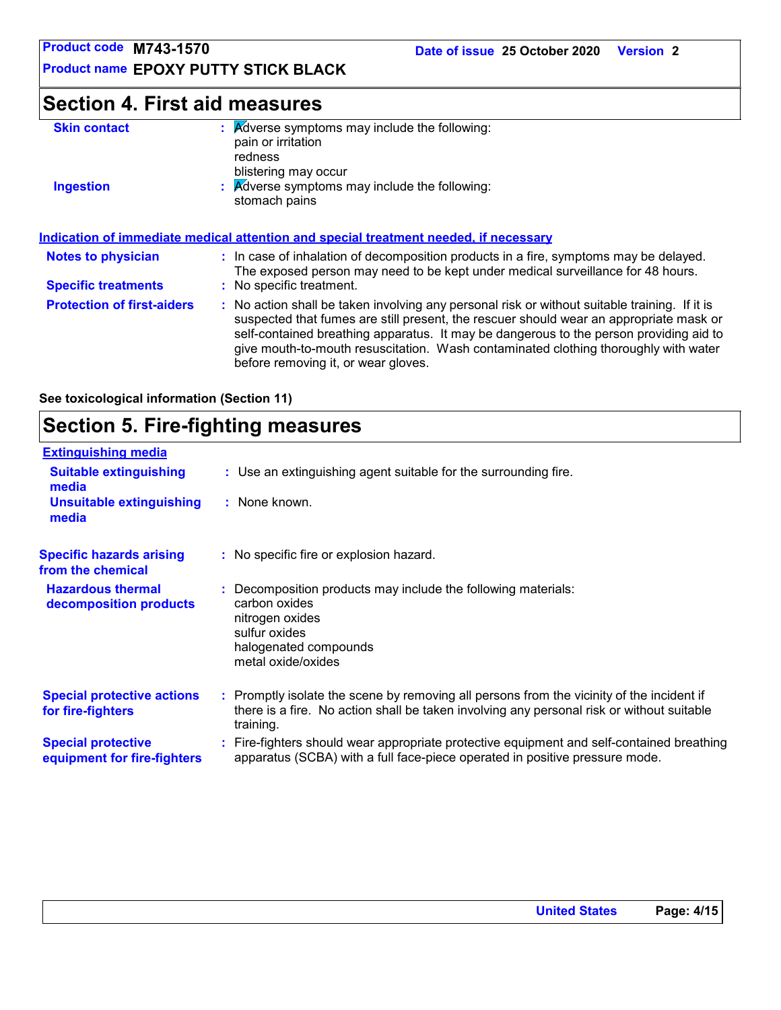**Product name EPOXY PUTTY STICK BLACK**

### **Section 4. First aid measures**

| <b>Skin contact</b> | <b>A</b> dverse symptoms may include the following:<br>pain or irritation<br>redness<br>blistering may occur |
|---------------------|--------------------------------------------------------------------------------------------------------------|
| <b>Ingestion</b>    | $\therefore$ Adverse symptoms may include the following:<br>stomach pains                                    |
|                     | Indication of immediate medical attention and special treatment needed if necessary                          |

| <b>Notes to physician</b><br><b>Specific treatments</b> | : In case of inhalation of decomposition products in a fire, symptoms may be delayed.<br>The exposed person may need to be kept under medical surveillance for 48 hours.<br>: No specific treatment.                                                                                                                                                                                                            |
|---------------------------------------------------------|-----------------------------------------------------------------------------------------------------------------------------------------------------------------------------------------------------------------------------------------------------------------------------------------------------------------------------------------------------------------------------------------------------------------|
| <b>Protection of first-aiders</b>                       | : No action shall be taken involving any personal risk or without suitable training. If it is<br>suspected that fumes are still present, the rescuer should wear an appropriate mask or<br>self-contained breathing apparatus. It may be dangerous to the person providing aid to<br>give mouth-to-mouth resuscitation. Wash contaminated clothing thoroughly with water<br>before removing it, or wear gloves. |

**See toxicological information (Section 11)**

### **Section 5. Fire-fighting measures**

| <b>Extinguishing media</b>                               |                                                                                                                                                                                                     |
|----------------------------------------------------------|-----------------------------------------------------------------------------------------------------------------------------------------------------------------------------------------------------|
| <b>Suitable extinguishing</b><br>media                   | : Use an extinguishing agent suitable for the surrounding fire.                                                                                                                                     |
| <b>Unsuitable extinguishing</b><br>media                 | : None known.                                                                                                                                                                                       |
| <b>Specific hazards arising</b><br>from the chemical     | : No specific fire or explosion hazard.                                                                                                                                                             |
| <b>Hazardous thermal</b><br>decomposition products       | : Decomposition products may include the following materials:<br>carbon oxides<br>nitrogen oxides<br>sulfur oxides<br>halogenated compounds<br>metal oxide/oxides                                   |
| <b>Special protective actions</b><br>for fire-fighters   | : Promptly isolate the scene by removing all persons from the vicinity of the incident if<br>there is a fire. No action shall be taken involving any personal risk or without suitable<br>training. |
| <b>Special protective</b><br>equipment for fire-fighters | : Fire-fighters should wear appropriate protective equipment and self-contained breathing<br>apparatus (SCBA) with a full face-piece operated in positive pressure mode.                            |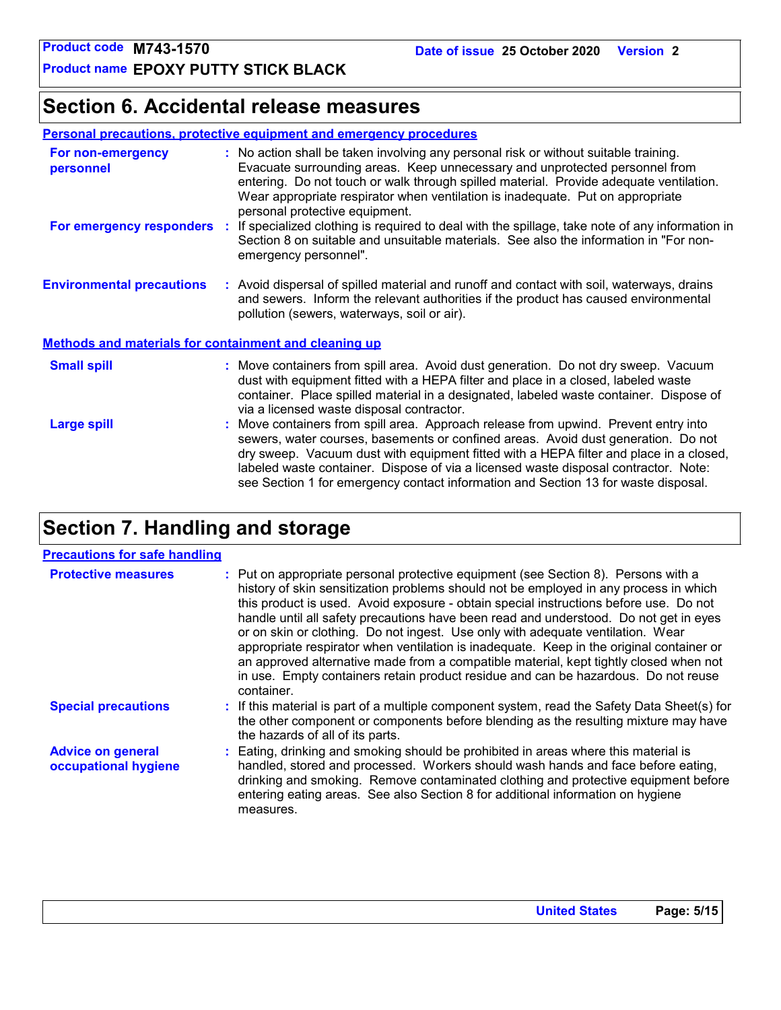### **Section 6. Accidental release measures**

#### **Personal precautions, protective equipment and emergency procedures**

| For non-emergency<br>personnel                               | : No action shall be taken involving any personal risk or without suitable training.<br>Evacuate surrounding areas. Keep unnecessary and unprotected personnel from<br>entering. Do not touch or walk through spilled material. Provide adequate ventilation.<br>Wear appropriate respirator when ventilation is inadequate. Put on appropriate<br>personal protective equipment.                                                               |  |  |
|--------------------------------------------------------------|-------------------------------------------------------------------------------------------------------------------------------------------------------------------------------------------------------------------------------------------------------------------------------------------------------------------------------------------------------------------------------------------------------------------------------------------------|--|--|
| For emergency responders                                     | : If specialized clothing is required to deal with the spillage, take note of any information in<br>Section 8 on suitable and unsuitable materials. See also the information in "For non-<br>emergency personnel".                                                                                                                                                                                                                              |  |  |
| <b>Environmental precautions</b>                             | : Avoid dispersal of spilled material and runoff and contact with soil, waterways, drains<br>and sewers. Inform the relevant authorities if the product has caused environmental<br>pollution (sewers, waterways, soil or air).                                                                                                                                                                                                                 |  |  |
| <b>Methods and materials for containment and cleaning up</b> |                                                                                                                                                                                                                                                                                                                                                                                                                                                 |  |  |
| <b>Small spill</b>                                           | : Move containers from spill area. Avoid dust generation. Do not dry sweep. Vacuum<br>dust with equipment fitted with a HEPA filter and place in a closed, labeled waste<br>container. Place spilled material in a designated, labeled waste container. Dispose of<br>via a licensed waste disposal contractor.                                                                                                                                 |  |  |
| <b>Large spill</b>                                           | : Move containers from spill area. Approach release from upwind. Prevent entry into<br>sewers, water courses, basements or confined areas. Avoid dust generation. Do not<br>dry sweep. Vacuum dust with equipment fitted with a HEPA filter and place in a closed,<br>labeled waste container. Dispose of via a licensed waste disposal contractor. Note:<br>see Section 1 for emergency contact information and Section 13 for waste disposal. |  |  |

### **Section 7. Handling and storage**

#### **Precautions for safe handling**

| <b>Protective measures</b>                       | : Put on appropriate personal protective equipment (see Section 8). Persons with a<br>history of skin sensitization problems should not be employed in any process in which<br>this product is used. Avoid exposure - obtain special instructions before use. Do not<br>handle until all safety precautions have been read and understood. Do not get in eyes<br>or on skin or clothing. Do not ingest. Use only with adequate ventilation. Wear<br>appropriate respirator when ventilation is inadequate. Keep in the original container or<br>an approved alternative made from a compatible material, kept tightly closed when not<br>in use. Empty containers retain product residue and can be hazardous. Do not reuse<br>container. |
|--------------------------------------------------|-------------------------------------------------------------------------------------------------------------------------------------------------------------------------------------------------------------------------------------------------------------------------------------------------------------------------------------------------------------------------------------------------------------------------------------------------------------------------------------------------------------------------------------------------------------------------------------------------------------------------------------------------------------------------------------------------------------------------------------------|
| <b>Special precautions</b>                       | : If this material is part of a multiple component system, read the Safety Data Sheet(s) for<br>the other component or components before blending as the resulting mixture may have<br>the hazards of all of its parts.                                                                                                                                                                                                                                                                                                                                                                                                                                                                                                                   |
| <b>Advice on general</b><br>occupational hygiene | : Eating, drinking and smoking should be prohibited in areas where this material is<br>handled, stored and processed. Workers should wash hands and face before eating,<br>drinking and smoking. Remove contaminated clothing and protective equipment before<br>entering eating areas. See also Section 8 for additional information on hygiene<br>measures.                                                                                                                                                                                                                                                                                                                                                                             |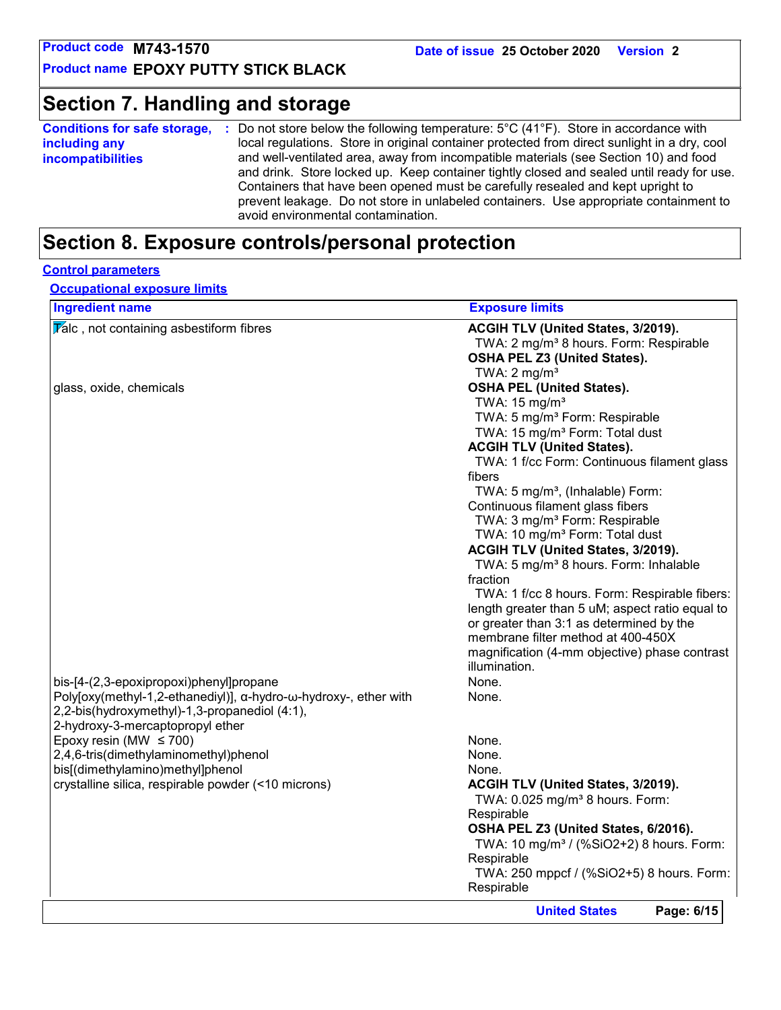### **Section 7. Handling and storage**

| local regulations. Store in original container protected from direct sunlight in a dry, cool<br>including any<br>and well-ventilated area, away from incompatible materials (see Section 10) and food<br><b>incompatibilities</b><br>and drink. Store locked up. Keep container tightly closed and sealed until ready for use.<br>Containers that have been opened must be carefully resealed and kept upright to<br>prevent leakage. Do not store in unlabeled containers. Use appropriate containment to | <b>Conditions for safe storage,</b> | Do not store below the following temperature: $5^{\circ}$ C (41 $^{\circ}$ F). Store in accordance with |
|------------------------------------------------------------------------------------------------------------------------------------------------------------------------------------------------------------------------------------------------------------------------------------------------------------------------------------------------------------------------------------------------------------------------------------------------------------------------------------------------------------|-------------------------------------|---------------------------------------------------------------------------------------------------------|
|                                                                                                                                                                                                                                                                                                                                                                                                                                                                                                            |                                     |                                                                                                         |
|                                                                                                                                                                                                                                                                                                                                                                                                                                                                                                            |                                     | avoid environmental contamination.                                                                      |

### **Section 8. Exposure controls/personal protection**

#### **Control parameters**

**Occupational exposure limits**

| <b>Ingredient name</b>                                           | <b>Exposure limits</b>                               |
|------------------------------------------------------------------|------------------------------------------------------|
| Valc, not containing asbestiform fibres                          | ACGIH TLV (United States, 3/2019).                   |
|                                                                  | TWA: 2 mg/m <sup>3</sup> 8 hours. Form: Respirable   |
|                                                                  | <b>OSHA PEL Z3 (United States).</b>                  |
|                                                                  | TWA: $2 \text{ mg/m}^3$                              |
| glass, oxide, chemicals                                          | <b>OSHA PEL (United States).</b>                     |
|                                                                  | TWA: $15 \text{ mg/m}^3$                             |
|                                                                  | TWA: 5 mg/m <sup>3</sup> Form: Respirable            |
|                                                                  | TWA: 15 mg/m <sup>3</sup> Form: Total dust           |
|                                                                  | <b>ACGIH TLV (United States).</b>                    |
|                                                                  | TWA: 1 f/cc Form: Continuous filament glass          |
|                                                                  | fibers                                               |
|                                                                  | TWA: 5 mg/m <sup>3</sup> , (Inhalable) Form:         |
|                                                                  | Continuous filament glass fibers                     |
|                                                                  | TWA: 3 mg/m <sup>3</sup> Form: Respirable            |
|                                                                  | TWA: 10 mg/m <sup>3</sup> Form: Total dust           |
|                                                                  | ACGIH TLV (United States, 3/2019).                   |
|                                                                  | TWA: 5 mg/m <sup>3</sup> 8 hours. Form: Inhalable    |
|                                                                  | fraction                                             |
|                                                                  | TWA: 1 f/cc 8 hours. Form: Respirable fibers:        |
|                                                                  | length greater than 5 uM; aspect ratio equal to      |
|                                                                  | or greater than 3:1 as determined by the             |
|                                                                  | membrane filter method at 400-450X                   |
|                                                                  | magnification (4-mm objective) phase contrast        |
|                                                                  | illumination.                                        |
| bis-[4-(2,3-epoxipropoxi)phenyl]propane                          | None.                                                |
| Poly[oxy(methyl-1,2-ethanediyl)], α-hydro-ω-hydroxy-, ether with | None.                                                |
| 2,2-bis(hydroxymethyl)-1,3-propanediol (4:1),                    |                                                      |
| 2-hydroxy-3-mercaptopropyl ether                                 |                                                      |
| Epoxy resin (MW $\leq$ 700)                                      | None.                                                |
| 2,4,6-tris(dimethylaminomethyl)phenol                            | None.                                                |
| bis[(dimethylamino)methyl]phenol                                 | None.                                                |
| crystalline silica, respirable powder (<10 microns)              | ACGIH TLV (United States, 3/2019).                   |
|                                                                  | TWA: 0.025 mg/m <sup>3</sup> 8 hours. Form:          |
|                                                                  | Respirable                                           |
|                                                                  | OSHA PEL Z3 (United States, 6/2016).                 |
|                                                                  | TWA: 10 mg/m <sup>3</sup> / (%SiO2+2) 8 hours. Form: |
|                                                                  | Respirable                                           |
|                                                                  | TWA: 250 mppcf / (%SiO2+5) 8 hours. Form:            |
|                                                                  | Respirable                                           |
|                                                                  |                                                      |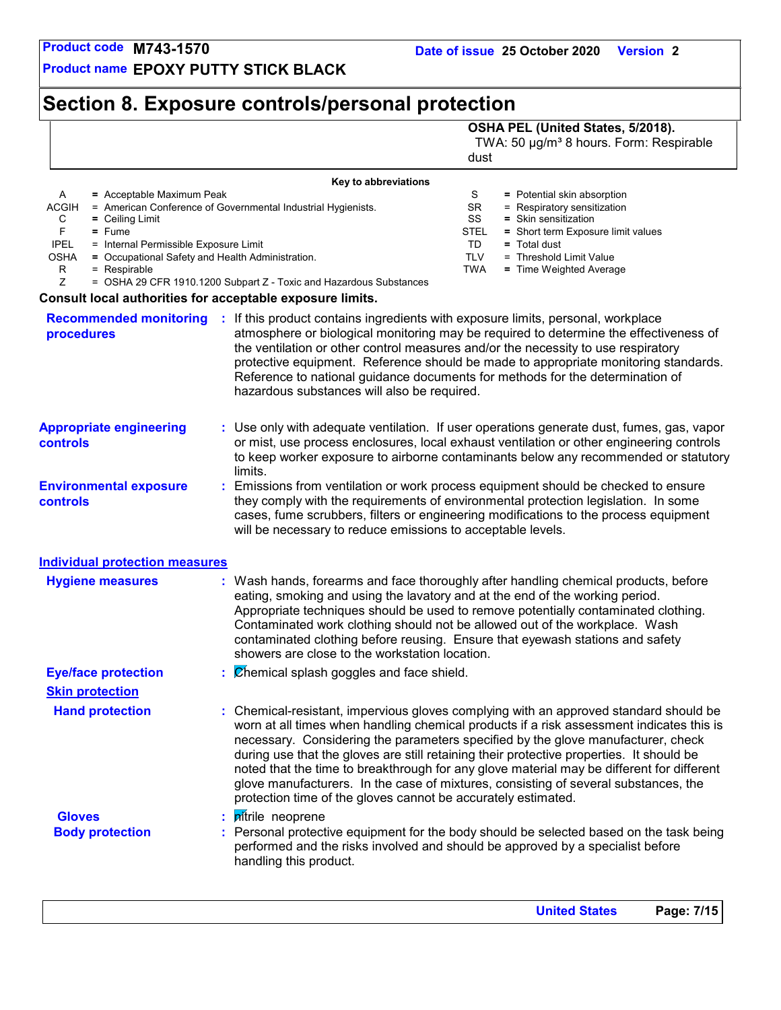**Product name EPOXY PUTTY STICK BLACK**

### **Section 8. Exposure controls/personal protection**

### **OSHA PEL (United States, 5/2018).**

TWA: 50 µg/m<sup>3</sup> 8 hours. Form: Respirable dust

|                                                                                                                                                                                                                                                                                                                 | Key to abbreviations                                                                                                               |                                                                                                                                                                                                                                                                                                                                                                                                                                                                                                                                                       |  |
|-----------------------------------------------------------------------------------------------------------------------------------------------------------------------------------------------------------------------------------------------------------------------------------------------------------------|------------------------------------------------------------------------------------------------------------------------------------|-------------------------------------------------------------------------------------------------------------------------------------------------------------------------------------------------------------------------------------------------------------------------------------------------------------------------------------------------------------------------------------------------------------------------------------------------------------------------------------------------------------------------------------------------------|--|
| A<br>$=$ Acceptable Maximum Peak<br><b>ACGIH</b><br>C<br>$=$ Ceiling Limit<br>F<br>$=$ Fume<br><b>IPEL</b><br>= Internal Permissible Exposure Limit<br><b>OSHA</b><br>= Occupational Safety and Health Administration.<br>R<br>$=$ Respirable<br>Z<br>Consult local authorities for acceptable exposure limits. | = American Conference of Governmental Industrial Hygienists.<br>= OSHA 29 CFR 1910.1200 Subpart Z - Toxic and Hazardous Substances | S<br>= Potential skin absorption<br>SR<br>= Respiratory sensitization<br>SS<br>= Skin sensitization<br><b>STEL</b><br>= Short term Exposure limit values<br>TD<br>$=$ Total dust<br><b>TLV</b><br>= Threshold Limit Value<br>TWA<br>= Time Weighted Average                                                                                                                                                                                                                                                                                           |  |
|                                                                                                                                                                                                                                                                                                                 |                                                                                                                                    | <b>Recommended monitoring : If this product contains ingredients with exposure limits, personal, workplace</b>                                                                                                                                                                                                                                                                                                                                                                                                                                        |  |
| procedures                                                                                                                                                                                                                                                                                                      | hazardous substances will also be required.                                                                                        | atmosphere or biological monitoring may be required to determine the effectiveness of<br>the ventilation or other control measures and/or the necessity to use respiratory<br>protective equipment. Reference should be made to appropriate monitoring standards.<br>Reference to national guidance documents for methods for the determination of                                                                                                                                                                                                    |  |
| <b>Appropriate engineering</b><br>controls                                                                                                                                                                                                                                                                      | limits.                                                                                                                            | : Use only with adequate ventilation. If user operations generate dust, fumes, gas, vapor<br>or mist, use process enclosures, local exhaust ventilation or other engineering controls<br>to keep worker exposure to airborne contaminants below any recommended or statutory                                                                                                                                                                                                                                                                          |  |
| <b>Environmental exposure</b><br><b>controls</b>                                                                                                                                                                                                                                                                | will be necessary to reduce emissions to acceptable levels.                                                                        | : Emissions from ventilation or work process equipment should be checked to ensure<br>they comply with the requirements of environmental protection legislation. In some<br>cases, fume scrubbers, filters or engineering modifications to the process equipment                                                                                                                                                                                                                                                                                      |  |
| <b>Individual protection measures</b>                                                                                                                                                                                                                                                                           |                                                                                                                                    |                                                                                                                                                                                                                                                                                                                                                                                                                                                                                                                                                       |  |
| <b>Hygiene measures</b>                                                                                                                                                                                                                                                                                         | showers are close to the workstation location.                                                                                     | : Wash hands, forearms and face thoroughly after handling chemical products, before<br>eating, smoking and using the lavatory and at the end of the working period.<br>Appropriate techniques should be used to remove potentially contaminated clothing.<br>Contaminated work clothing should not be allowed out of the workplace. Wash<br>contaminated clothing before reusing. Ensure that eyewash stations and safety                                                                                                                             |  |
| <b>Eye/face protection</b>                                                                                                                                                                                                                                                                                      | $\mathcal{C}$ <i>Chemical splash goggles and face shield.</i>                                                                      |                                                                                                                                                                                                                                                                                                                                                                                                                                                                                                                                                       |  |
| <b>Skin protection</b>                                                                                                                                                                                                                                                                                          |                                                                                                                                    |                                                                                                                                                                                                                                                                                                                                                                                                                                                                                                                                                       |  |
| <b>Hand protection</b>                                                                                                                                                                                                                                                                                          | protection time of the gloves cannot be accurately estimated.                                                                      | : Chemical-resistant, impervious gloves complying with an approved standard should be<br>worn at all times when handling chemical products if a risk assessment indicates this is<br>necessary. Considering the parameters specified by the glove manufacturer, check<br>during use that the gloves are still retaining their protective properties. It should be<br>noted that the time to breakthrough for any glove material may be different for different<br>glove manufacturers. In the case of mixtures, consisting of several substances, the |  |
| <b>Gloves</b>                                                                                                                                                                                                                                                                                                   | : pitrile neoprene                                                                                                                 |                                                                                                                                                                                                                                                                                                                                                                                                                                                                                                                                                       |  |
| <b>Body protection</b>                                                                                                                                                                                                                                                                                          | handling this product.                                                                                                             | : Personal protective equipment for the body should be selected based on the task being<br>performed and the risks involved and should be approved by a specialist before                                                                                                                                                                                                                                                                                                                                                                             |  |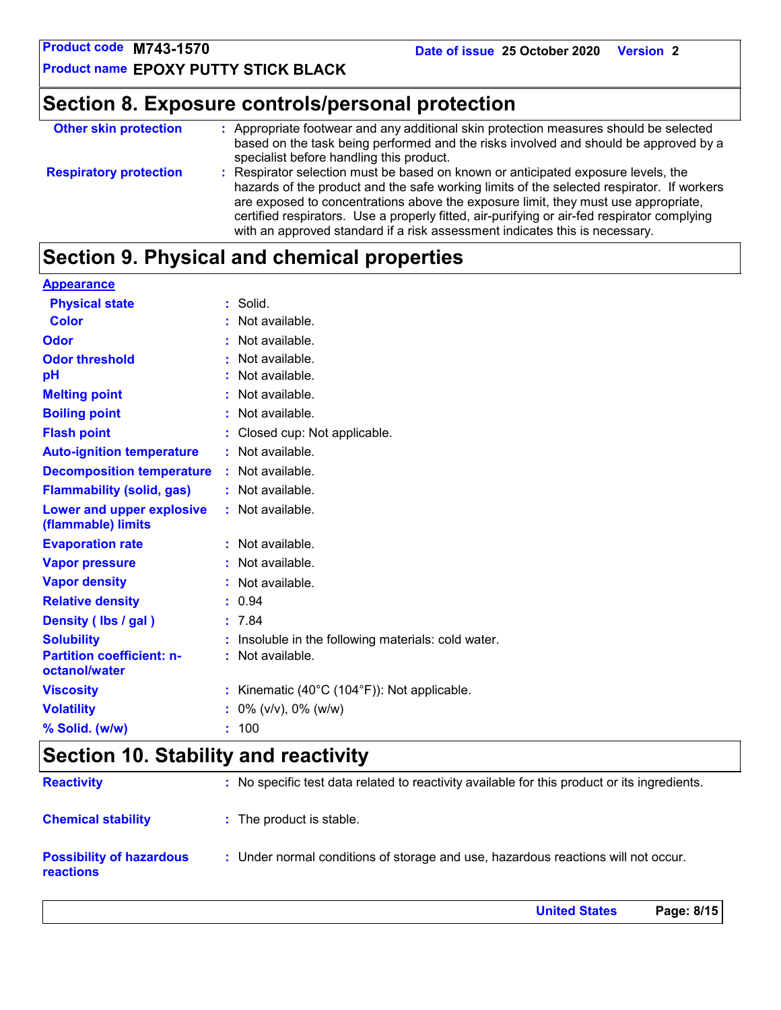**United States Page: 8/15**

**Product name EPOXY PUTTY STICK BLACK**

### **Section 8. Exposure controls/personal protection**

| <b>Other skin protection</b>  | : Appropriate footwear and any additional skin protection measures should be selected<br>based on the task being performed and the risks involved and should be approved by a<br>specialist before handling this product.                                                                                                                                                                                                                          |
|-------------------------------|----------------------------------------------------------------------------------------------------------------------------------------------------------------------------------------------------------------------------------------------------------------------------------------------------------------------------------------------------------------------------------------------------------------------------------------------------|
| <b>Respiratory protection</b> | : Respirator selection must be based on known or anticipated exposure levels, the<br>hazards of the product and the safe working limits of the selected respirator. If workers<br>are exposed to concentrations above the exposure limit, they must use appropriate,<br>certified respirators. Use a properly fitted, air-purifying or air-fed respirator complying<br>with an approved standard if a risk assessment indicates this is necessary. |

### **Section 9. Physical and chemical properties**

| <b>Appearance</b>                                 |                                                              |
|---------------------------------------------------|--------------------------------------------------------------|
| <b>Physical state</b>                             | : Solid.                                                     |
| <b>Color</b>                                      | : Not available.                                             |
| Odor                                              | : Not available.                                             |
| <b>Odor threshold</b>                             | : Not available.                                             |
| pH                                                | : Not available.                                             |
| <b>Melting point</b>                              | : Not available.                                             |
| <b>Boiling point</b>                              | : Not available.                                             |
| <b>Flash point</b>                                | : Closed cup: Not applicable.                                |
| <b>Auto-ignition temperature</b>                  | : Not available.                                             |
| <b>Decomposition temperature</b>                  | : Not available.                                             |
| <b>Flammability (solid, gas)</b>                  | : Not available.                                             |
| Lower and upper explosive<br>(flammable) limits   | : Not available.                                             |
| <b>Evaporation rate</b>                           | : Not available.                                             |
| <b>Vapor pressure</b>                             | : Not available.                                             |
| <b>Vapor density</b>                              | : Not available.                                             |
| <b>Relative density</b>                           | : 0.94                                                       |
| Density (Ibs / gal)                               | : 7.84                                                       |
| <b>Solubility</b>                                 | Insoluble in the following materials: cold water.            |
| <b>Partition coefficient: n-</b><br>octanol/water | : Not available.                                             |
| <b>Viscosity</b>                                  | : Kinematic $(40^{\circ}C (104^{\circ}F))$ : Not applicable. |
| <b>Volatility</b>                                 | $: 0\%$ (v/v), 0% (w/w)                                      |
| % Solid. (w/w)                                    | : 100                                                        |

### **Section 10. Stability and reactivity**

| <b>Reactivity</b>                                   | : No specific test data related to reactivity available for this product or its ingredients. |
|-----------------------------------------------------|----------------------------------------------------------------------------------------------|
| <b>Chemical stability</b>                           | : The product is stable.                                                                     |
| <b>Possibility of hazardous</b><br><b>reactions</b> | : Under normal conditions of storage and use, hazardous reactions will not occur.            |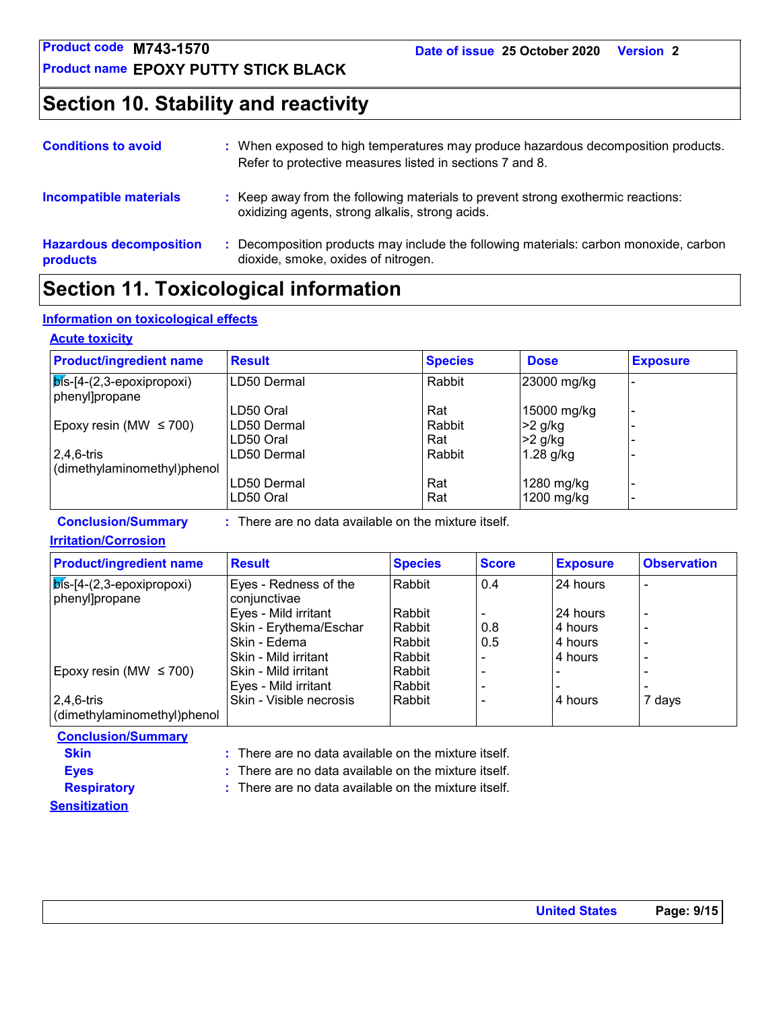**Product name EPOXY PUTTY STICK BLACK**

### **Section 10. Stability and reactivity**

| <b>Conditions to avoid</b>                 | : When exposed to high temperatures may produce hazardous decomposition products.<br>Refer to protective measures listed in sections 7 and 8. |
|--------------------------------------------|-----------------------------------------------------------------------------------------------------------------------------------------------|
| <b>Incompatible materials</b>              | : Keep away from the following materials to prevent strong exothermic reactions:<br>oxidizing agents, strong alkalis, strong acids.           |
| <b>Hazardous decomposition</b><br>products | Decomposition products may include the following materials: carbon monoxide, carbon<br>dioxide, smoke, oxides of nitrogen.                    |

### **Section 11. Toxicological information**

#### **Information on toxicological effects**

#### **Acute toxicity**

| <b>Product/ingredient name</b>                                    | <b>Result</b> | <b>Species</b> | <b>Dose</b> | <b>Exposure</b> |
|-------------------------------------------------------------------|---------------|----------------|-------------|-----------------|
| $\vert$ $\overline{p}$ is-[4-(2,3-epoxipropoxi)<br>phenyl]propane | LD50 Dermal   | Rabbit         | 23000 mg/kg |                 |
|                                                                   | LD50 Oral     | Rat            | 15000 mg/kg |                 |
| Epoxy resin (MW $\leq$ 700)                                       | ILD50 Dermal  | Rabbit         | $>2$ g/kg   |                 |
|                                                                   | LD50 Oral     | Rat            | $>2$ g/kg   |                 |
| $2,4,6$ -tris                                                     | LD50 Dermal   | Rabbit         | $1.28$ g/kg |                 |
| (dimethylaminomethyl)phenol                                       |               |                |             |                 |
|                                                                   | LD50 Dermal   | Rat            | 1280 mg/kg  |                 |
|                                                                   | LD50 Oral     | Rat            | 1200 mg/kg  |                 |

**Conclusion/Summary :** There are no data available on the mixture itself.

#### **Irritation/Corrosion**

| <b>Product/ingredient name</b>                       | <b>Result</b>                         | <b>Species</b> | <b>Score</b> | <b>Exposure</b> | <b>Observation</b>       |
|------------------------------------------------------|---------------------------------------|----------------|--------------|-----------------|--------------------------|
| $\sqrt{p}$ s-[4-(2,3-epoxipropoxi)<br>phenyl]propane | Eyes - Redness of the<br>conjunctivae | l Rabbit       | 0.4          | 24 hours        |                          |
|                                                      | Eyes - Mild irritant                  | Rabbit         |              | 24 hours        | $\overline{\phantom{0}}$ |
|                                                      | Skin - Erythema/Eschar                | Rabbit         | 0.8          | 4 hours         | $\overline{\phantom{0}}$ |
|                                                      | Skin - Edema                          | Rabbit         | 0.5          | 4 hours         | $\overline{\phantom{0}}$ |
|                                                      | Skin - Mild irritant                  | Rabbit         |              | 4 hours         | $\overline{\phantom{0}}$ |
| Epoxy resin (MW $\leq$ 700)                          | Skin - Mild irritant                  | Rabbit         |              |                 |                          |
|                                                      | Eyes - Mild irritant                  | Rabbit         |              |                 |                          |
| 2,4,6-tris                                           | Skin - Visible necrosis               | l Rabbit       |              | 4 hours         | 7 days                   |
| (dimethylaminomethyl)phenol                          |                                       |                |              |                 |                          |

| <b>Conclusion/Summary</b> |                                                                 |
|---------------------------|-----------------------------------------------------------------|
| <b>Skin</b>               | $\therefore$ There are no data available on the mixture itself. |
| <b>Eves</b>               | $\therefore$ There are no data available on the mixture itself. |
| <b>Respiratory</b>        | $\therefore$ There are no data available on the mixture itself. |
| <b>Sensitization</b>      |                                                                 |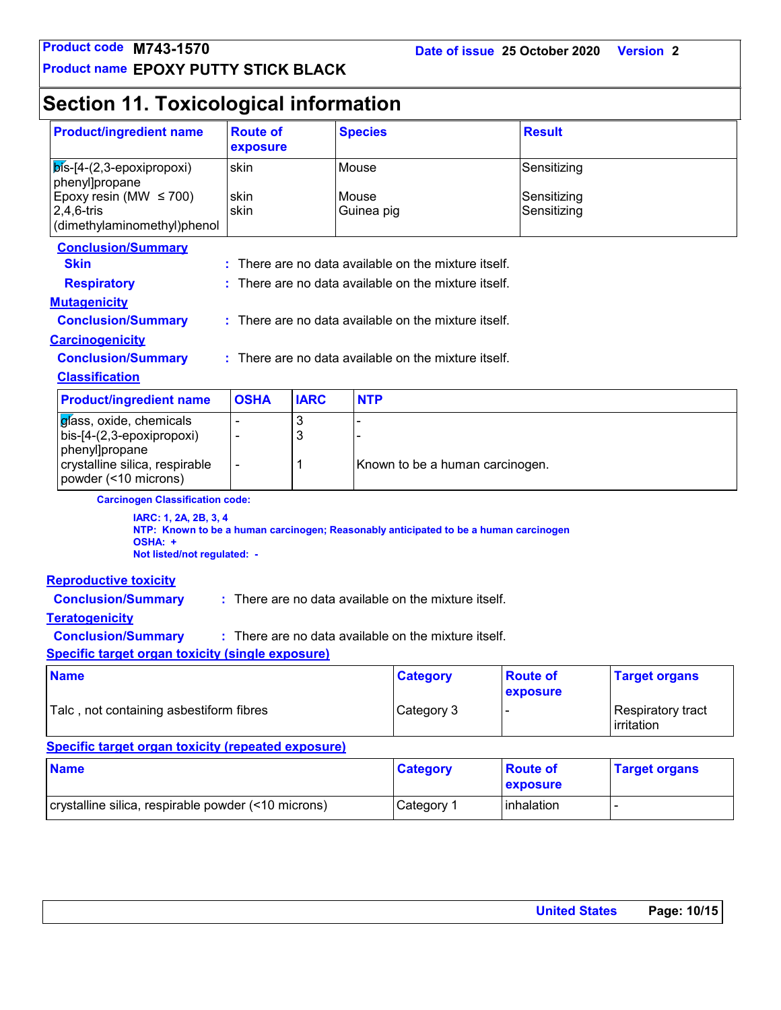**Product name EPOXY PUTTY STICK BLACK**

## **Section 11. Toxicological information**

| <b>Product/ingredient name</b><br><b>Route of</b><br>exposure                                                                                           |                |             | <b>Species</b>      |                                                      | <b>Result</b>               |                                 |  |
|---------------------------------------------------------------------------------------------------------------------------------------------------------|----------------|-------------|---------------------|------------------------------------------------------|-----------------------------|---------------------------------|--|
| $\mathsf{b}$ ís-[4-(2,3-epoxipropoxi)<br>phenyl]propane                                                                                                 | skin           |             | Mouse               |                                                      | Sensitizing                 |                                 |  |
| Epoxy resin (MW $\leq$ 700)<br>$2,4,6$ -tris<br>(dimethylaminomethyl)phenol                                                                             | skin<br>skin   |             | Mouse<br>Guinea pig |                                                      | Sensitizing<br>Sensitizing  |                                 |  |
| <b>Conclusion/Summary</b><br><b>Skin</b>                                                                                                                |                |             |                     | There are no data available on the mixture itself.   |                             |                                 |  |
| <b>Respiratory</b>                                                                                                                                      |                |             |                     | There are no data available on the mixture itself.   |                             |                                 |  |
| <b>Mutagenicity</b>                                                                                                                                     |                |             |                     |                                                      |                             |                                 |  |
| <b>Conclusion/Summary</b>                                                                                                                               |                |             |                     | : There are no data available on the mixture itself. |                             |                                 |  |
| <b>Carcinogenicity</b>                                                                                                                                  |                |             |                     |                                                      |                             |                                 |  |
| <b>Conclusion/Summary</b>                                                                                                                               |                |             |                     | : There are no data available on the mixture itself. |                             |                                 |  |
| <b>Classification</b>                                                                                                                                   |                |             |                     |                                                      |                             |                                 |  |
| <b>Product/ingredient name</b>                                                                                                                          | <b>OSHA</b>    | <b>IARC</b> | <b>NTP</b>          |                                                      |                             |                                 |  |
| glass, oxide, chemicals<br>bis-[4-(2,3-epoxipropoxi)<br>phenyl]propane                                                                                  | $\blacksquare$ | 3<br>3      |                     |                                                      |                             |                                 |  |
| crystalline silica, respirable<br>powder (<10 microns)                                                                                                  | $\blacksquare$ | 1           |                     | Known to be a human carcinogen.                      |                             |                                 |  |
| <b>Carcinogen Classification code:</b>                                                                                                                  |                |             |                     |                                                      |                             |                                 |  |
| IARC: 1, 2A, 2B, 3, 4<br>NTP: Known to be a human carcinogen; Reasonably anticipated to be a human carcinogen<br>OSHA: +<br>Not listed/not regulated: - |                |             |                     |                                                      |                             |                                 |  |
| <b>Reproductive toxicity</b>                                                                                                                            |                |             |                     |                                                      |                             |                                 |  |
| <b>Conclusion/Summary</b>                                                                                                                               |                |             |                     | : There are no data available on the mixture itself. |                             |                                 |  |
| <b>Teratogenicity</b>                                                                                                                                   |                |             |                     |                                                      |                             |                                 |  |
| <b>Conclusion/Summary</b><br>: There are no data available on the mixture itself.                                                                       |                |             |                     |                                                      |                             |                                 |  |
| <b>Specific target organ toxicity (single exposure)</b>                                                                                                 |                |             |                     |                                                      |                             |                                 |  |
| <b>Name</b>                                                                                                                                             |                |             |                     | <b>Category</b>                                      | <b>Route of</b><br>exposure | <b>Target organs</b>            |  |
| Talc, not containing asbestiform fibres                                                                                                                 |                |             |                     | Category 3                                           |                             | Respiratory tract<br>irritation |  |
| <b>Specific target organ toxicity (repeated exposure)</b>                                                                                               |                |             |                     |                                                      |                             |                                 |  |
| <b>Name</b>                                                                                                                                             |                |             |                     | <b>Category</b>                                      | <b>Route of</b><br>exposure | <b>Target organs</b>            |  |
| crystalline silica, respirable powder (<10 microns)                                                                                                     |                |             |                     | Category 1                                           | inhalation                  | $\frac{1}{2}$                   |  |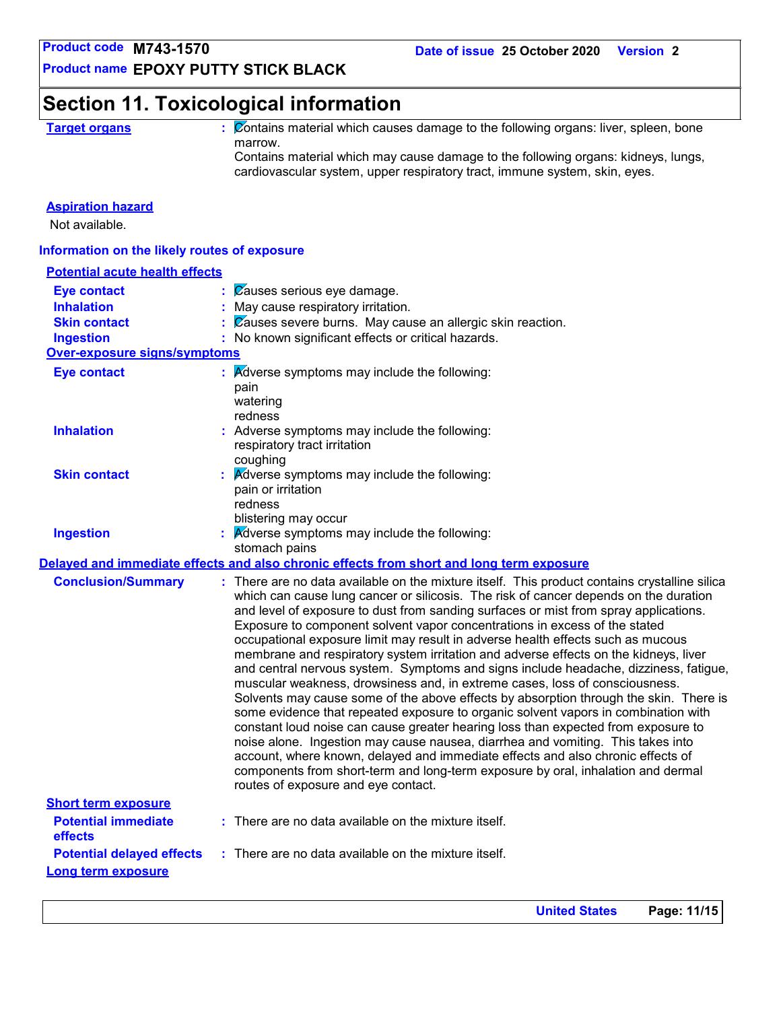**Product name EPOXY PUTTY STICK BLACK**

### **Section 11. Toxicological information**

**Target organs :** Contains material which causes damage to the following organs: liver, spleen, bone marrow.

Contains material which may cause damage to the following organs: kidneys, lungs, cardiovascular system, upper respiratory tract, immune system, skin, eyes.

#### **Aspiration hazard**

Not available.

#### **Information on the likely routes of exposure**

| <b>Potential acute health effects</b> |    |                                                                                                                                                                                                                                                                                                                                                                                                                                                                                                                                                                                                                                                                                                                                                                                                                                                                                                                                                                                                                                                                                                                                                                                                                                                                                    |
|---------------------------------------|----|------------------------------------------------------------------------------------------------------------------------------------------------------------------------------------------------------------------------------------------------------------------------------------------------------------------------------------------------------------------------------------------------------------------------------------------------------------------------------------------------------------------------------------------------------------------------------------------------------------------------------------------------------------------------------------------------------------------------------------------------------------------------------------------------------------------------------------------------------------------------------------------------------------------------------------------------------------------------------------------------------------------------------------------------------------------------------------------------------------------------------------------------------------------------------------------------------------------------------------------------------------------------------------|
| <b>Eye contact</b>                    |    | Causes serious eye damage.                                                                                                                                                                                                                                                                                                                                                                                                                                                                                                                                                                                                                                                                                                                                                                                                                                                                                                                                                                                                                                                                                                                                                                                                                                                         |
| <b>Inhalation</b>                     |    | May cause respiratory irritation.                                                                                                                                                                                                                                                                                                                                                                                                                                                                                                                                                                                                                                                                                                                                                                                                                                                                                                                                                                                                                                                                                                                                                                                                                                                  |
| <b>Skin contact</b>                   |    | Zauses severe burns. May cause an allergic skin reaction.                                                                                                                                                                                                                                                                                                                                                                                                                                                                                                                                                                                                                                                                                                                                                                                                                                                                                                                                                                                                                                                                                                                                                                                                                          |
| <b>Ingestion</b>                      |    | : No known significant effects or critical hazards.                                                                                                                                                                                                                                                                                                                                                                                                                                                                                                                                                                                                                                                                                                                                                                                                                                                                                                                                                                                                                                                                                                                                                                                                                                |
| <b>Over-exposure signs/symptoms</b>   |    |                                                                                                                                                                                                                                                                                                                                                                                                                                                                                                                                                                                                                                                                                                                                                                                                                                                                                                                                                                                                                                                                                                                                                                                                                                                                                    |
| <b>Eye contact</b>                    |    | Adverse symptoms may include the following:<br>pain<br>watering<br>redness                                                                                                                                                                                                                                                                                                                                                                                                                                                                                                                                                                                                                                                                                                                                                                                                                                                                                                                                                                                                                                                                                                                                                                                                         |
| <b>Inhalation</b>                     |    | : Adverse symptoms may include the following:<br>respiratory tract irritation<br>coughing                                                                                                                                                                                                                                                                                                                                                                                                                                                                                                                                                                                                                                                                                                                                                                                                                                                                                                                                                                                                                                                                                                                                                                                          |
| <b>Skin contact</b>                   | t. | Adverse symptoms may include the following:<br>pain or irritation<br>redness<br>blistering may occur                                                                                                                                                                                                                                                                                                                                                                                                                                                                                                                                                                                                                                                                                                                                                                                                                                                                                                                                                                                                                                                                                                                                                                               |
| <b>Ingestion</b>                      |    | <b>Adverse symptoms may include the following:</b>                                                                                                                                                                                                                                                                                                                                                                                                                                                                                                                                                                                                                                                                                                                                                                                                                                                                                                                                                                                                                                                                                                                                                                                                                                 |
|                                       |    | stomach pains                                                                                                                                                                                                                                                                                                                                                                                                                                                                                                                                                                                                                                                                                                                                                                                                                                                                                                                                                                                                                                                                                                                                                                                                                                                                      |
|                                       |    | Delayed and immediate effects and also chronic effects from short and long term exposure                                                                                                                                                                                                                                                                                                                                                                                                                                                                                                                                                                                                                                                                                                                                                                                                                                                                                                                                                                                                                                                                                                                                                                                           |
| <b>Conclusion/Summary</b>             |    | : There are no data available on the mixture itself. This product contains crystalline silica<br>which can cause lung cancer or silicosis. The risk of cancer depends on the duration<br>and level of exposure to dust from sanding surfaces or mist from spray applications.<br>Exposure to component solvent vapor concentrations in excess of the stated<br>occupational exposure limit may result in adverse health effects such as mucous<br>membrane and respiratory system irritation and adverse effects on the kidneys, liver<br>and central nervous system. Symptoms and signs include headache, dizziness, fatigue,<br>muscular weakness, drowsiness and, in extreme cases, loss of consciousness.<br>Solvents may cause some of the above effects by absorption through the skin. There is<br>some evidence that repeated exposure to organic solvent vapors in combination with<br>constant loud noise can cause greater hearing loss than expected from exposure to<br>noise alone. Ingestion may cause nausea, diarrhea and vomiting. This takes into<br>account, where known, delayed and immediate effects and also chronic effects of<br>components from short-term and long-term exposure by oral, inhalation and dermal<br>routes of exposure and eye contact. |
| <b>Short term exposure</b>            |    |                                                                                                                                                                                                                                                                                                                                                                                                                                                                                                                                                                                                                                                                                                                                                                                                                                                                                                                                                                                                                                                                                                                                                                                                                                                                                    |
| <b>Potential immediate</b><br>effects |    | $:$ There are no data available on the mixture itself.                                                                                                                                                                                                                                                                                                                                                                                                                                                                                                                                                                                                                                                                                                                                                                                                                                                                                                                                                                                                                                                                                                                                                                                                                             |
| <b>Potential delayed effects</b>      |    | : There are no data available on the mixture itself.                                                                                                                                                                                                                                                                                                                                                                                                                                                                                                                                                                                                                                                                                                                                                                                                                                                                                                                                                                                                                                                                                                                                                                                                                               |
| <b>Long term exposure</b>             |    |                                                                                                                                                                                                                                                                                                                                                                                                                                                                                                                                                                                                                                                                                                                                                                                                                                                                                                                                                                                                                                                                                                                                                                                                                                                                                    |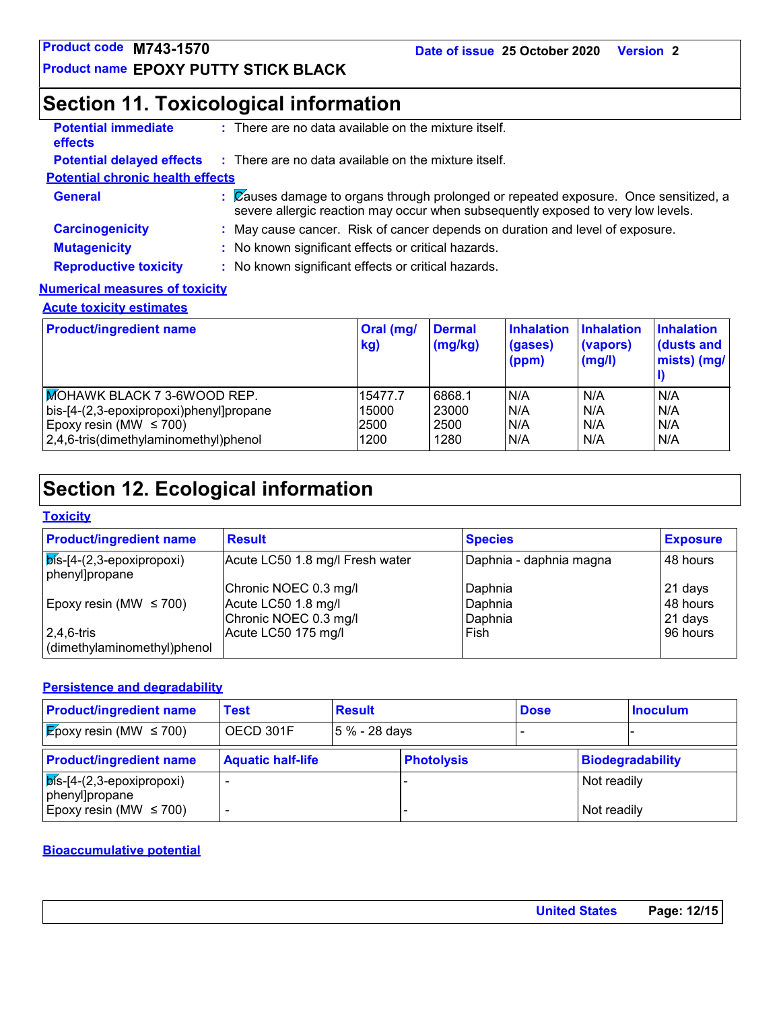### **Section 11. Toxicological information**

| <b>Potential immediate</b><br><b>effects</b> | $\therefore$ There are no data available on the mixture itself.                                                                                                          |
|----------------------------------------------|--------------------------------------------------------------------------------------------------------------------------------------------------------------------------|
|                                              | <b>Potential delayed effects</b> : There are no data available on the mixture itself.                                                                                    |
| <b>Potential chronic health effects</b>      |                                                                                                                                                                          |
| <b>General</b>                               | : Causes damage to organs through prolonged or repeated exposure. Once sensitized, a<br>severe allergic reaction may occur when subsequently exposed to very low levels. |
| <b>Carcinogenicity</b>                       | : May cause cancer. Risk of cancer depends on duration and level of exposure.                                                                                            |
| <b>Mutagenicity</b>                          | : No known significant effects or critical hazards.                                                                                                                      |
| <b>Reproductive toxicity</b>                 | : No known significant effects or critical hazards.                                                                                                                      |
| <b>Numerical measures of toxicity</b>        |                                                                                                                                                                          |

### **Acute toxicity estimates**

| <b>Product/ingredient name</b>          | Oral (mg/<br>kg) | <b>Dermal</b><br>(mg/kg) | <b>Inhalation</b><br>(gases)<br>(ppm) | Inhalation<br>(vapors)<br>(mg/l) | <b>Inhalation</b><br>dusts and<br>mists) (mg/ |
|-----------------------------------------|------------------|--------------------------|---------------------------------------|----------------------------------|-----------------------------------------------|
| MOHAWK BLACK 7 3-6WOOD REP.             | 15477.7          | 6868.1                   | N/A                                   | N/A                              | N/A                                           |
| bis-[4-(2,3-epoxipropoxi)phenyl]propane | 15000            | 23000                    | N/A                                   | N/A                              | N/A                                           |
| Epoxy resin (MW $\leq$ 700)             | 2500             | 2500                     | N/A                                   | N/A                              | N/A                                           |
| 2,4,6-tris(dimethylaminomethyl)phenol   | 1200             | 1280                     | N/A                                   | N/A                              | N/A                                           |

## **Section 12. Ecological information**

#### **Toxicity**

| <b>Product/ingredient name</b>                        | <b>Result</b>                   | <b>Species</b>          | <b>Exposure</b> |
|-------------------------------------------------------|---------------------------------|-------------------------|-----------------|
| $\sqrt{p}$ is-[4-(2,3-epoxipropoxi)<br>phenyl]propane | Acute LC50 1.8 mg/l Fresh water | Daphnia - daphnia magna | 48 hours        |
|                                                       | Chronic NOEC 0.3 mg/l           | Daphnia                 | 21 days         |
| Epoxy resin (MW $\leq$ 700)                           | Acute LC50 1.8 mg/l             | Daphnia                 | 148 hours       |
|                                                       | Chronic NOEC 0.3 mg/l           | Daphnia                 | $21$ days       |
| $2,4,6$ -tris                                         | Acute LC50 175 mg/l             | Fish                    | 196 hours       |
| dimethylaminomethyl)phenol                            |                                 |                         |                 |

#### **Persistence and degradability**

| <b>Product/ingredient name</b>                            | Test                     | <b>Result</b> |                   | <b>Dose</b> |             | <b>Inoculum</b>  |
|-----------------------------------------------------------|--------------------------|---------------|-------------------|-------------|-------------|------------------|
| <b>E</b> poxy resin (MW $\leq$ 700)                       | OECD 301F                | 5 % - 28 days |                   |             |             |                  |
| <b>Product/ingredient name</b>                            | <b>Aquatic half-life</b> |               | <b>Photolysis</b> |             |             | Biodegradability |
| $\vert$ $\phi$ is-[4-(2,3-epoxipropoxi)<br>phenyl]propane |                          |               |                   |             | Not readily |                  |
| Epoxy resin (MW $\leq$ 700)                               |                          |               |                   |             | Not readily |                  |

### **Bioaccumulative potential**

| <b>United States</b> |
|----------------------|
|----------------------|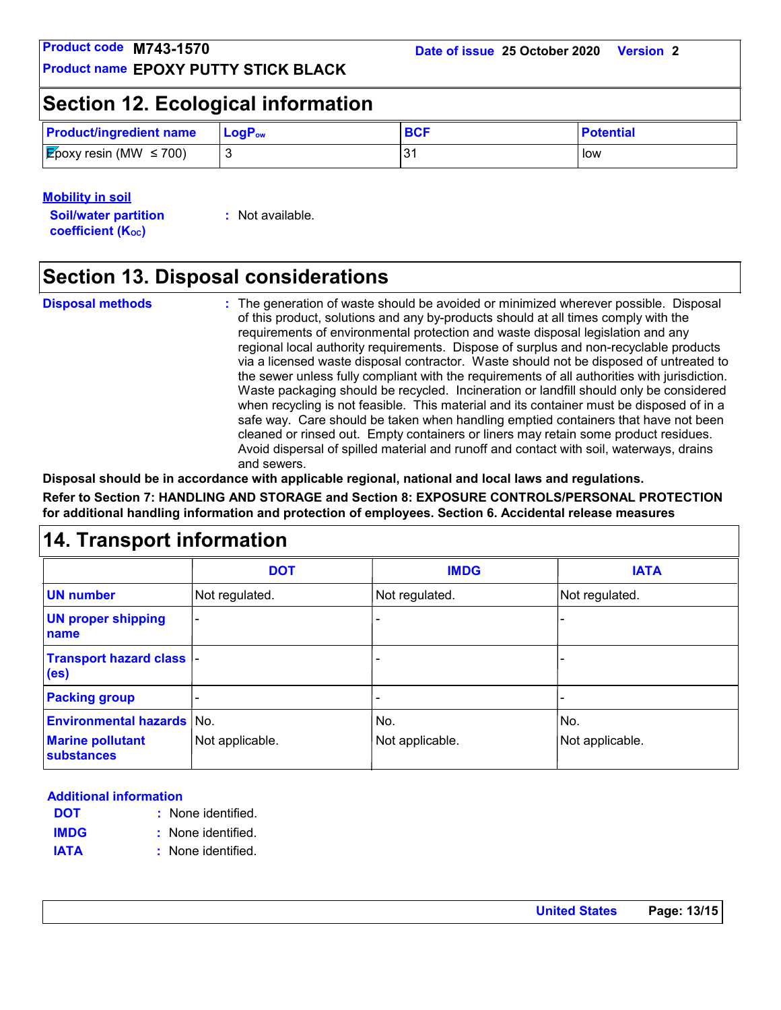### **Section 12. Ecological information**

| <b>Product/ingredient name</b>                | $\mathsf{LocP}_\mathsf{ow}$ | <b>BCF</b> | <b>Potential</b> |
|-----------------------------------------------|-----------------------------|------------|------------------|
| <b>Epoxy resin (MW <math>\leq</math> 700)</b> |                             |            | low              |

#### **Mobility in soil**

**Soil/water partition coefficient (KOC)**

**:** Not available.

### **Section 13. Disposal considerations**

**Disposal methods :**

The generation of waste should be avoided or minimized wherever possible. Disposal of this product, solutions and any by-products should at all times comply with the requirements of environmental protection and waste disposal legislation and any regional local authority requirements. Dispose of surplus and non-recyclable products via a licensed waste disposal contractor. Waste should not be disposed of untreated to the sewer unless fully compliant with the requirements of all authorities with jurisdiction. Waste packaging should be recycled. Incineration or landfill should only be considered when recycling is not feasible. This material and its container must be disposed of in a safe way. Care should be taken when handling emptied containers that have not been cleaned or rinsed out. Empty containers or liners may retain some product residues. Avoid dispersal of spilled material and runoff and contact with soil, waterways, drains and sewers.

**Disposal should be in accordance with applicable regional, national and local laws and regulations. Refer to Section 7: HANDLING AND STORAGE and Section 8: EXPOSURE CONTROLS/PERSONAL PROTECTION**  safe way. Care should b<br>
cleaned or rinsed out. En<br>
Avoid dispersal of spilled<br>
and sewers.<br>
Disposal should be in accordance with applicable regio<br>
Refer to Section 7: HANDLING AND STORAGE and Sect<br>
for additional handlin

**for additional handling information and protection of employees. Section 6. Accidental release measures**

|                                                                                  | <b>DOT</b>      | <b>IMDG</b>            | <b>IATA</b>            |
|----------------------------------------------------------------------------------|-----------------|------------------------|------------------------|
| <b>UN number</b>                                                                 | Not regulated.  | Not regulated.         | Not regulated.         |
| <b>UN proper shipping</b><br>name                                                | $\blacksquare$  |                        |                        |
| Transport hazard class  -<br>(e <sub>s</sub> )                                   |                 |                        |                        |
| <b>Packing group</b>                                                             |                 |                        |                        |
| <b>Environmental hazards No.</b><br><b>Marine pollutant</b><br><b>substances</b> | Not applicable. | No.<br>Not applicable. | No.<br>Not applicable. |

#### **Additional information**

- None identified. **: DOT**
- None identified. **: IMDG**
- **IATA :** None identified.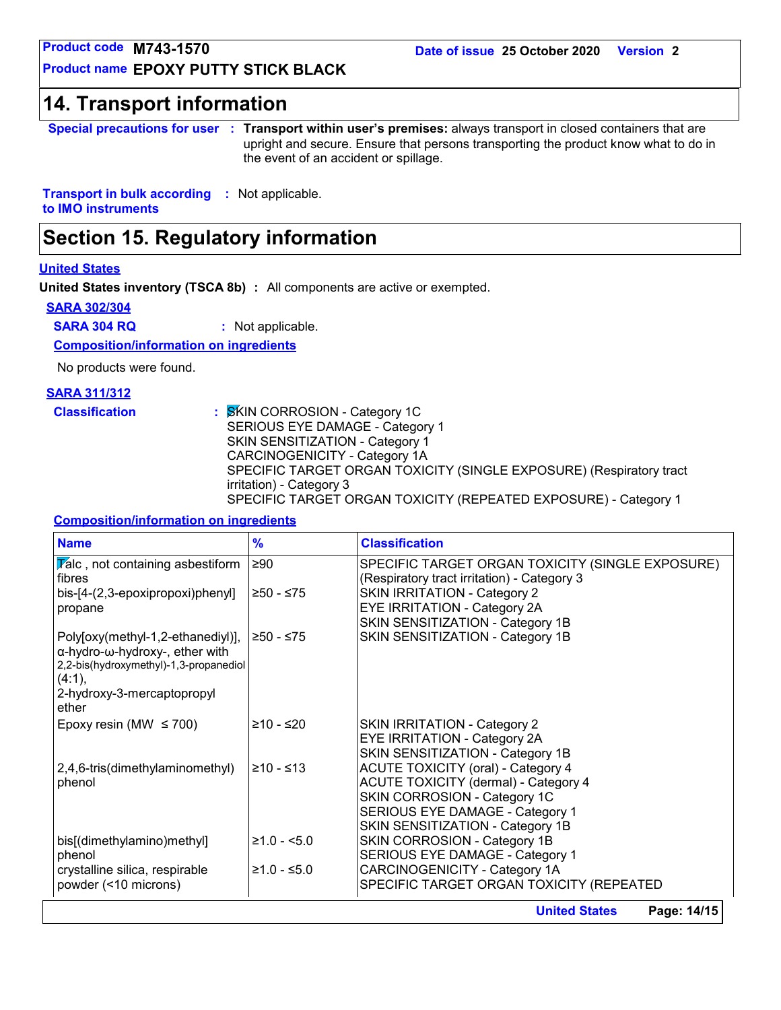**Date of issue 25 October 2020 Version 2**

**Product name EPOXY PUTTY STICK BLACK**

**Product code M743-1570<br>
Product name EPOXY PUTTY STICK BLACK<br>
14. Transport information<br>
Special precautions for user : Transport within user' Special precautions for user Transport within user's premises:** always transport in closed containers that are **:** upright and secure. Ensure that persons transporting the product know what to do in the event of an accident or spillage.

**Transport in bulk according :** Not applicable. **to IMO instruments**

### **Section 15. Regulatory information**

#### **United States**

**United States inventory (TSCA 8b) :** All components are active or exempted.

#### **SARA 302/304**

**SARA 304 RQ :** Not applicable.

**Composition/information on ingredients**

No products were found.

#### **SARA 311/312**

**Classification :** SKIN CORROSION - Category 1C SERIOUS EYE DAMAGE - Category 1 SKIN SENSITIZATION - Category 1 CARCINOGENICITY - Category 1A SPECIFIC TARGET ORGAN TOXICITY (SINGLE EXPOSURE) (Respiratory tract irritation) - Category 3 SPECIFIC TARGET ORGAN TOXICITY (REPEATED EXPOSURE) - Category 1

#### **Composition/information on ingredients**

| <b>Name</b>                                                                                                                                                    | $\frac{9}{6}$ | <b>Classification</b>                                                                           |
|----------------------------------------------------------------------------------------------------------------------------------------------------------------|---------------|-------------------------------------------------------------------------------------------------|
| $\sqrt{\mathbf{z}}$ alc, not containing asbestiform<br>fibres                                                                                                  | $\geq 90$     | SPECIFIC TARGET ORGAN TOXICITY (SINGLE EXPOSURE)<br>(Respiratory tract irritation) - Category 3 |
| bis-[4-(2,3-epoxipropoxi)phenyl]<br>propane                                                                                                                    | ≥50 - ≤75     | <b>SKIN IRRITATION - Category 2</b><br><b>EYE IRRITATION - Category 2A</b>                      |
|                                                                                                                                                                |               | SKIN SENSITIZATION - Category 1B                                                                |
| Poly[oxy(methyl-1,2-ethanediyl)],<br>α-hydro-ω-hydroxy-, ether with<br>2,2-bis(hydroxymethyl)-1,3-propanediol<br>(4:1),<br>2-hydroxy-3-mercaptopropyl<br>ether | ≥50 - ≤75     | SKIN SENSITIZATION - Category 1B                                                                |
| Epoxy resin (MW $\leq$ 700)                                                                                                                                    | $≥10 - ≤20$   | <b>SKIN IRRITATION - Category 2</b>                                                             |
|                                                                                                                                                                |               | EYE IRRITATION - Category 2A                                                                    |
| 2,4,6-tris(dimethylaminomethyl)                                                                                                                                | $≥10 - ≤13$   | SKIN SENSITIZATION - Category 1B<br><b>ACUTE TOXICITY (oral) - Category 4</b>                   |
| phenol                                                                                                                                                         |               | <b>ACUTE TOXICITY (dermal) - Category 4</b>                                                     |
|                                                                                                                                                                |               | SKIN CORROSION - Category 1C<br>SERIOUS EYE DAMAGE - Category 1                                 |
|                                                                                                                                                                |               | SKIN SENSITIZATION - Category 1B                                                                |
| bis[(dimethylamino)methyl]                                                                                                                                     | $≥1.0 - <5.0$ | SKIN CORROSION - Category 1B                                                                    |
| phenol                                                                                                                                                         |               | SERIOUS EYE DAMAGE - Category 1                                                                 |
| crystalline silica, respirable                                                                                                                                 | $≥1.0 - ≤5.0$ | CARCINOGENICITY - Category 1A                                                                   |
| powder (<10 microns)                                                                                                                                           |               | SPECIFIC TARGET ORGAN TOXICITY (REPEATED                                                        |
|                                                                                                                                                                |               | Page: 14/15<br><b>United States</b>                                                             |